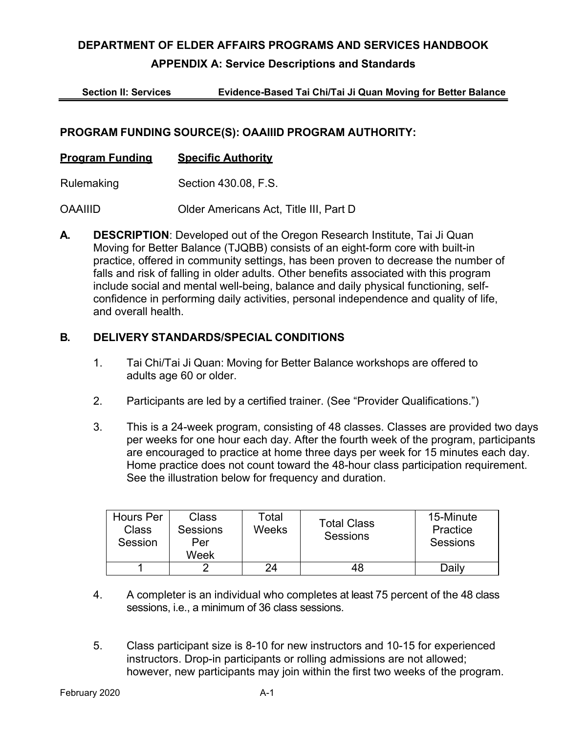# **DEPARTMENT OF ELDER AFFAIRS PROGRAMS AND SERVICES HANDBOOK APPENDIX A: Service Descriptions and Standards**

**Section II: Services Evidence-Based Tai Chi/Tai Ji Quan Moving for Better Balance**

#### **PROGRAM FUNDING SOURCE(S): OAAIIID PROGRAM AUTHORITY:**

#### **Program Funding Specific Authority**

Rulemaking Section 430.08, F.S.

OAAIIID Older Americans Act, Title III, Part D

**A. DESCRIPTION**: Developed out of the Oregon Research Institute, Tai Ji Quan Moving for Better Balance (TJQBB) consists of an eight-form core with built-in practice, offered in community settings, has been proven to decrease the number of falls and risk of falling in older adults. Other benefits associated with this program include social and mental well-being, balance and daily physical functioning, selfconfidence in performing daily activities, personal independence and quality of life, and overall health.

### **B. DELIVERY STANDARDS/SPECIAL CONDITIONS**

- 1. Tai Chi/Tai Ji Quan: Moving for Better Balance workshops are offered to adults age 60 or older.
- 2. Participants are led by a certified trainer. (See "Provider Qualifications.")
- 3. This is a 24-week program, consisting of 48 classes. Classes are provided two days per weeks for one hour each day. After the fourth week of the program, participants are encouraged to practice at home three days per week for 15 minutes each day. Home practice does not count toward the 48-hour class participation requirement. See the illustration below for frequency and duration.

| Hours Per<br><b>Class</b><br>Session | <b>Class</b><br><b>Sessions</b><br>Per<br>Week | Total<br>Weeks | <b>Total Class</b><br><b>Sessions</b> | 15-Minute<br>Practice<br>Sessions |
|--------------------------------------|------------------------------------------------|----------------|---------------------------------------|-----------------------------------|
|                                      |                                                | 24             | 48                                    | Dailv                             |

- 4. A completer is an individual who completes at least 75 percent of the 48 class sessions, i.e., a minimum of 36 class sessions.
- 5. Class participant size is 8-10 for new instructors and 10-15 for experienced instructors. Drop-in participants or rolling admissions are not allowed; however, new participants may join within the first two weeks of the program.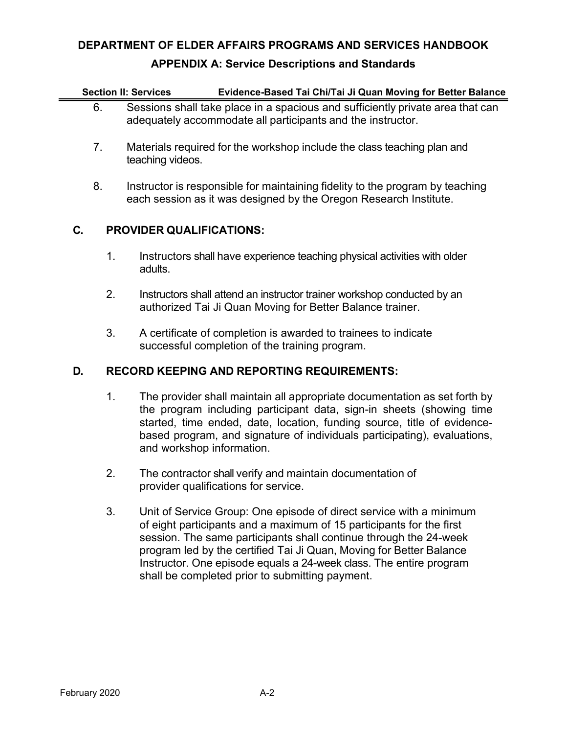# **DEPARTMENT OF ELDER AFFAIRS PROGRAMS AND SERVICES HANDBOOK APPENDIX A: Service Descriptions and Standards**

|                                       | <b>Section II: Services</b><br>Evidence-Based Tai Chi/Tai Ji Quan Moving for Better Balance                                                        |  |  |  |
|---------------------------------------|----------------------------------------------------------------------------------------------------------------------------------------------------|--|--|--|
| 6.                                    | Sessions shall take place in a spacious and sufficiently private area that can<br>adequately accommodate all participants and the instructor.      |  |  |  |
| 7.                                    | Materials required for the workshop include the class teaching plan and<br>teaching videos.                                                        |  |  |  |
| 8.                                    | Instructor is responsible for maintaining fidelity to the program by teaching<br>each session as it was designed by the Oregon Research Institute. |  |  |  |
| C.<br><b>PROVIDER QUALIFICATIONS:</b> |                                                                                                                                                    |  |  |  |
| 1.                                    | Instructors shall have experience teaching physical activities with older<br>adults.                                                               |  |  |  |
| 2.                                    | Instructors shall attend an instructor trainer workshop conducted by an<br>authorized Tai Ji Quan Moving for Better Balance trainer.               |  |  |  |
|                                       | A portificate of completion is querded to trainees to indicate                                                                                     |  |  |  |

3. A certificate of completion is awarded to trainees to indicate successful completion of the training program.

### **D. RECORD KEEPING AND REPORTING REQUIREMENTS:**

- 1. The provider shall maintain all appropriate documentation as set forth by the program including participant data, sign-in sheets (showing time started, time ended, date, location, funding source, title of evidencebased program, and signature of individuals participating), evaluations, and workshop information.
- 2. The contractor shall verify and maintain documentation of provider qualifications for service.
- 3. Unit of Service Group: One episode of direct service with a minimum of eight participants and a maximum of 15 participants for the first session. The same participants shall continue through the 24-week program led by the certified Tai Ji Quan, Moving for Better Balance Instructor. One episode equals a 24-week class. The entire program shall be completed prior to submitting payment.